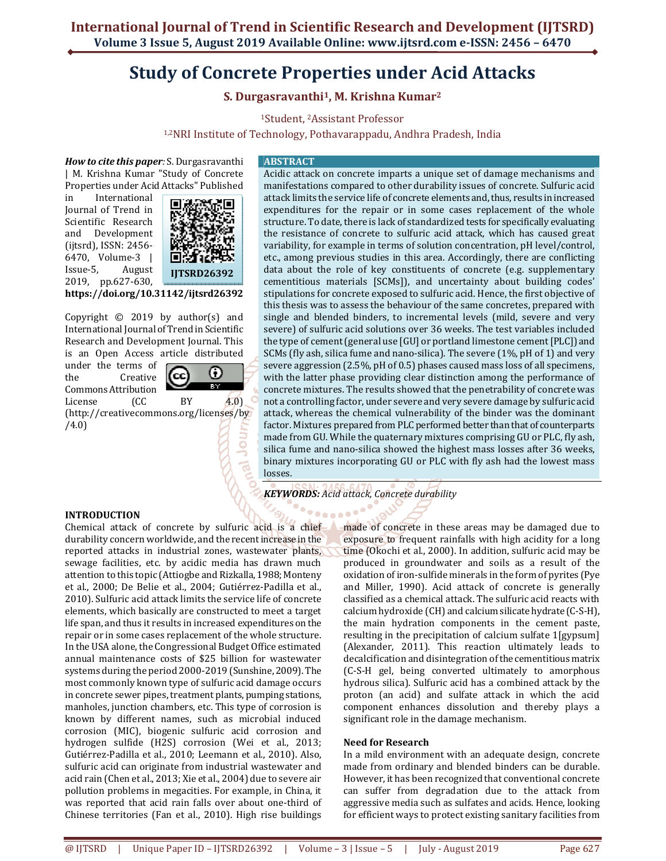# **Study of Concrete Properties under Acid Attacks**

**S. Durgasravanthi<sup>1</sup>, M. Krishna Kumar<sup>2</sup>**

<sup>1</sup>Student, 2Assistant Professor

1,2NRI Institute of Technology, Pothavarappadu, Andhra Pradesh, India

*How to cite this paper:* S. Durgasravanthi | M. Krishna Kumar "Study of Concrete Properties under Acid Attacks" Published

in International Journal of Trend in Scientific Research and Development (ijtsrd), ISSN: 2456- 6470, Volume-3 | Issue-5, August 2019, pp.627-630,



**https://doi.org/10.31142/ijtsrd26392**

Copyright  $©$  2019 by author(s) and International Journal of Trend in Scientific Research and Development Journal. This is an Open Access article distributed

under the terms of the Creative Commons Attribution



c

Jou

License (CC BY 4.0) (http://creativecommons.org/licenses/by /4.0)

### **ABSTRACT**

Acidic attack on concrete imparts a unique set of damage mechanisms and manifestations compared to other durability issues of concrete. Sulfuric acid attack limits the service life of concrete elements and, thus, results in increased expenditures for the repair or in some cases replacement of the whole structure. To date, there is lack of standardized tests for specifically evaluating the resistance of concrete to sulfuric acid attack, which has caused great variability, for example in terms of solution concentration, pH level/control, etc., among previous studies in this area. Accordingly, there are conflicting data about the role of key constituents of concrete (e.g. supplementary cementitious materials [SCMs]), and uncertainty about building codes' stipulations for concrete exposed to sulfuric acid. Hence, the first objective of this thesis was to assess the behaviour of the same concretes, prepared with single and blended binders, to incremental levels (mild, severe and very severe) of sulfuric acid solutions over 36 weeks. The test variables included the type of cement (general use [GU] or portland limestone cement [PLC]) and SCMs (fly ash, silica fume and nano-silica). The severe (1%, pH of 1) and very severe aggression (2.5%, pH of 0.5) phases caused mass loss of all specimens, with the latter phase providing clear distinction among the performance of concrete mixtures. The results showed that the penetrability of concrete was not a controlling factor, under severe and very severe damage by sulfuric acid attack, whereas the chemical vulnerability of the binder was the dominant factor. Mixtures prepared from PLC performed better than that of counterparts made from GU. While the quaternary mixtures comprising GU or PLC, fly ash, silica fume and nano-silica showed the highest mass losses after 36 weeks, binary mixtures incorporating GU or PLC with fly ash had the lowest mass losses.

*KEYWORDS: Acid attack, Concrete durability* 

# **INTRODUCTION**

Chemical attack of concrete by sulfuric acid is a chief durability concern worldwide, and the recent increase in the reported attacks in industrial zones, wastewater plants, sewage facilities, etc. by acidic media has drawn much attention to this topic (Attiogbe and Rizkalla, 1988; Monteny et al., 2000; De Belie et al., 2004; Gutiérrez-Padilla et al., 2010). Sulfuric acid attack limits the service life of concrete elements, which basically are constructed to meet a target life span, and thus it results in increased expenditures on the repair or in some cases replacement of the whole structure. In the USA alone, the Congressional Budget Office estimated annual maintenance costs of \$25 billion for wastewater systems during the period 2000-2019 (Sunshine, 2009). The most commonly known type of sulfuric acid damage occurs in concrete sewer pipes, treatment plants, pumping stations, manholes, junction chambers, etc. This type of corrosion is known by different names, such as microbial induced corrosion (MIC), biogenic sulfuric acid corrosion and hydrogen sulfide (H2S) corrosion (Wei et al., 2013; Gutiérrez-Padilla et al., 2010; Leemann et al., 2010). Also, sulfuric acid can originate from industrial wastewater and acid rain (Chen et al., 2013; Xie et al., 2004) due to severe air pollution problems in megacities. For example, in China, it was reported that acid rain falls over about one-third of Chinese territories (Fan et al., 2010). High rise buildings

made of concrete in these areas may be damaged due to exposure to frequent rainfalls with high acidity for a long time (Okochi et al., 2000). In addition, sulfuric acid may be produced in groundwater and soils as a result of the oxidation of iron-sulfide minerals in the form of pyrites (Pye and Miller, 1990). Acid attack of concrete is generally classified as a chemical attack. The sulfuric acid reacts with calcium hydroxide (CH) and calcium silicate hydrate (C-S-H), the main hydration components in the cement paste, resulting in the precipitation of calcium sulfate 1[gypsum] (Alexander, 2011). This reaction ultimately leads to decalcification and disintegration of the cementitious matrix (C-S-H gel, being converted ultimately to amorphous hydrous silica). Sulfuric acid has a combined attack by the proton (an acid) and sulfate attack in which the acid component enhances dissolution and thereby plays a significant role in the damage mechanism.

# **Need for Research**

In a mild environment with an adequate design, concrete made from ordinary and blended binders can be durable. However, it has been recognized that conventional concrete can suffer from degradation due to the attack from aggressive media such as sulfates and acids. Hence, looking for efficient ways to protect existing sanitary facilities from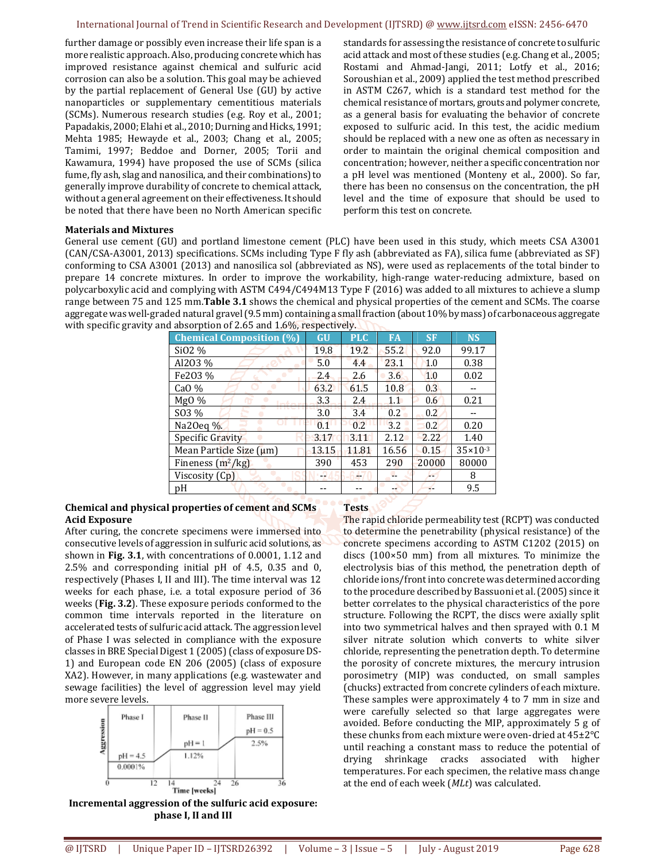further damage or possibly even increase their life span is a more realistic approach. Also, producing concrete which has improved resistance against chemical and sulfuric acid corrosion can also be a solution. This goal may be achieved by the partial replacement of General Use (GU) by active nanoparticles or supplementary cementitious materials (SCMs). Numerous research studies (e.g. Roy et al., 2001; Papadakis, 2000; Elahi et al., 2010; Durning and Hicks, 1991; Mehta 1985; Hewayde et al., 2003; Chang et al., 2005; Tamimi, 1997; Beddoe and Dorner, 2005; Torii and Kawamura, 1994) have proposed the use of SCMs (silica fume, fly ash, slag and nanosilica, and their combinations) to generally improve durability of concrete to chemical attack, without a general agreement on their effectiveness. It should be noted that there have been no North American specific standards for assessing the resistance of concrete to sulfuric acid attack and most of these studies (e.g. Chang et al., 2005; Rostami and Ahmad-Jangi, 2011; Lotfy et al., 2016; Soroushian et al., 2009) applied the test method prescribed in ASTM C267, which is a standard test method for the chemical resistance of mortars, grouts and polymer concrete, as a general basis for evaluating the behavior of concrete exposed to sulfuric acid. In this test, the acidic medium should be replaced with a new one as often as necessary in order to maintain the original chemical composition and concentration; however, neither a specific concentration nor a pH level was mentioned (Monteny et al., 2000). So far, there has been no consensus on the concentration, the pH level and the time of exposure that should be used to perform this test on concrete.

## **Materials and Mixtures**

General use cement (GU) and portland limestone cement (PLC) have been used in this study, which meets CSA A3001 (CAN/CSA-A3001, 2013) specifications. SCMs including Type F fly ash (abbreviated as FA), silica fume (abbreviated as SF) conforming to CSA A3001 (2013) and nanosilica sol (abbreviated as NS), were used as replacements of the total binder to prepare 14 concrete mixtures. In order to improve the workability, high-range water-reducing admixture, based on polycarboxylic acid and complying with ASTM C494/C494M13 Type F (2016) was added to all mixtures to achieve a slump range between 75 and 125 mm.**Table 3.1** shows the chemical and physical properties of the cement and SCMs. The coarse aggregate was well-graded natural gravel (9.5 mm) containing a small fraction (about 10% by mass) of carbonaceous aggregate with specific gravity and absorption of 2.65 and 1.6%, respectively.

| <b>Chemical Composition (%)</b> | <b>GU</b> | <b>PLC</b> | <b>FA</b> | <b>SF</b> | <b>NS</b>           |
|---------------------------------|-----------|------------|-----------|-----------|---------------------|
| Si02 %                          | 19.8      | 19.2       | 55.2      | 92.0      | 99.17               |
| Al203 %                         | 5.0       | 4.4        | 23.1      | 1.0       | 0.38                |
| Fe203 %                         | 2.4       | 2.6        | 3.6       | 1.0       | 0.02                |
| CaO $%$                         | 63.2      | 61.5       | 10.8      | 0.3       |                     |
| $Mg0\%$<br><b>Indiana</b>       | 3.3       | 2.4        | 1.1       | 0.6       | 0.21                |
| SO3 %                           | 3.0       | 3.4        | 0.2       | 0.2       |                     |
| Na20eq %.                       | 0.1       | 0.2        | 3.2       | 0.2       | 0.20                |
| Specific Gravity                | 3.17      | 3.11       | 2.12      | 2.22      | 1.40                |
| Mean Particle Size $(\mu m)$    | 13.15     | 11.81      | 16.56     | 0.15      | $35 \times 10^{-3}$ |
| Fineness $(m^2/kg)$             | 390       | 453        | 290       | 20000     | 80000               |
| Viscosity (Cp)                  | 42        |            |           |           | 8                   |
| pΗ                              |           |            |           |           | 9.5                 |

## **Chemical and physical properties of cement and SCMs Acid Exposure**

After curing, the concrete specimens were immersed into consecutive levels of aggression in sulfuric acid solutions, as shown in **Fig. 3.1**, with concentrations of 0.0001, 1.12 and 2.5% and corresponding initial pH of 4.5, 0.35 and 0, respectively (Phases I, II and III). The time interval was 12 weeks for each phase, i.e. a total exposure period of 36 weeks (**Fig. 3.2**). These exposure periods conformed to the common time intervals reported in the literature on accelerated tests of sulfuric acid attack. The aggression level of Phase I was selected in compliance with the exposure classes in BRE Special Digest 1 (2005) (class of exposure DS-1) and European code EN 206 (2005) (class of exposure XA2). However, in many applications (e.g. wastewater and sewage facilities) the level of aggression level may yield more severe levels.



**Incremental aggression of the sulfuric acid exposure: phase I, II and III** 

**Tests** 

The rapid chloride permeability test (RCPT) was conducted to determine the penetrability (physical resistance) of the concrete specimens according to ASTM C1202 (2015) on discs (100×50 mm) from all mixtures. To minimize the electrolysis bias of this method, the penetration depth of chloride ions/front into concrete was determined according to the procedure described by Bassuoni et al. (2005) since it better correlates to the physical characteristics of the pore structure. Following the RCPT, the discs were axially split into two symmetrical halves and then sprayed with 0.1 M silver nitrate solution which converts to white silver chloride, representing the penetration depth. To determine the porosity of concrete mixtures, the mercury intrusion porosimetry (MIP) was conducted, on small samples (chucks) extracted from concrete cylinders of each mixture. These samples were approximately 4 to 7 mm in size and were carefully selected so that large aggregates were avoided. Before conducting the MIP, approximately 5 g of these chunks from each mixture were oven-dried at 45±2°C until reaching a constant mass to reduce the potential of drying shrinkage cracks associated with higher temperatures. For each specimen, the relative mass change at the end of each week (*MLt*) was calculated.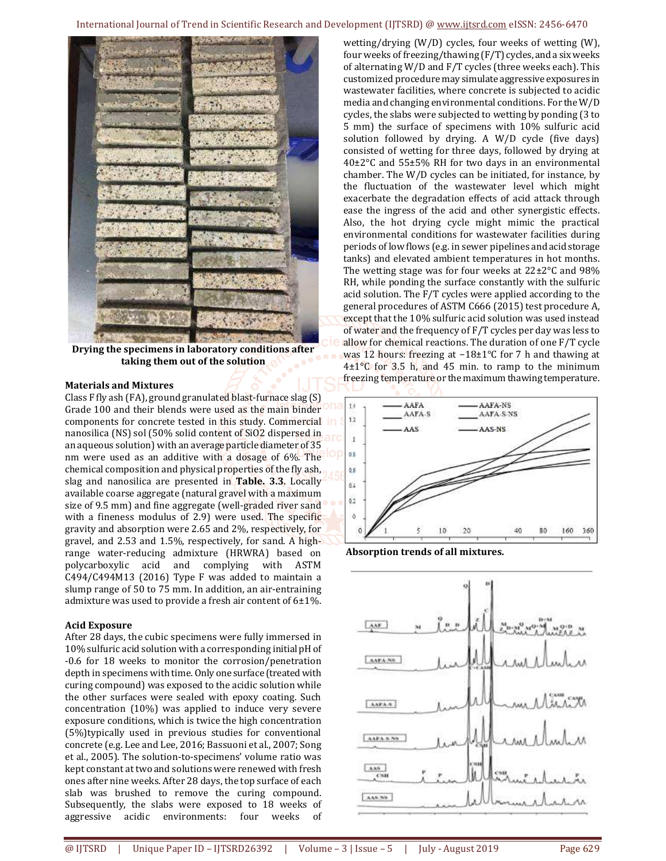International Journal of Trend in Scientific Research and Development (IJTSRD) @ www.ijtsrd.com eISSN: 2456-6470

**Drying the specimens in laboratory conditions after taking them out of the solution** 

#### **Materials and Mixtures**

Class F fly ash (FA), ground granulated blast-furnace slag (S) Grade 100 and their blends were used as the main binder components for concrete tested in this study. Commercial nanosilica (NS) sol (50% solid content of SiO2 dispersed in an aqueous solution) with an average particle diameter of 35 nm were used as an additive with a dosage of 6%. The chemical composition and physical properties of the fly ash, slag and nanosilica are presented in **Table. 3.3**. Locally available coarse aggregate (natural gravel with a maximum size of 9.5 mm) and fine aggregate (well-graded river sand with a fineness modulus of 2.9) were used. The specific gravity and absorption were 2.65 and 2%, respectively, for gravel, and 2.53 and 1.5%, respectively, for sand. A highrange water-reducing admixture (HRWRA) based on polycarboxylic acid and complying with ASTM C494/C494M13 (2016) Type F was added to maintain a slump range of 50 to 75 mm. In addition, an air-entraining admixture was used to provide a fresh air content of 6±1%.

#### **Acid Exposure**

After 28 days, the cubic specimens were fully immersed in 10% sulfuric acid solution with a corresponding initial pH of -0.6 for 18 weeks to monitor the corrosion/penetration depth in specimens with time. Only one surface (treated with curing compound) was exposed to the acidic solution while the other surfaces were sealed with epoxy coating. Such concentration (10%) was applied to induce very severe exposure conditions, which is twice the high concentration (5%)typically used in previous studies for conventional concrete (e.g. Lee and Lee, 2016; Bassuoni et al., 2007; Song et al., 2005). The solution-to-specimens' volume ratio was kept constant at two and solutions were renewed with fresh ones after nine weeks. After 28 days, the top surface of each slab was brushed to remove the curing compound. Subsequently, the slabs were exposed to 18 weeks of aggressive acidic environments: four weeks of

wetting/drying (W/D) cycles, four weeks of wetting (W), four weeks of freezing/thawing (F/T) cycles, and a six weeks of alternating W/D and F/T cycles (three weeks each). This customized procedure may simulate aggressive exposures in wastewater facilities, where concrete is subjected to acidic media and changing environmental conditions. For the W/D cycles, the slabs were subjected to wetting by ponding (3 to 5 mm) the surface of specimens with 10% sulfuric acid solution followed by drying. A W/D cycle (five days) consisted of wetting for three days, followed by drying at 40±2°C and 55±5% RH for two days in an environmental chamber. The W/D cycles can be initiated, for instance, by the fluctuation of the wastewater level which might exacerbate the degradation effects of acid attack through ease the ingress of the acid and other synergistic effects. Also, the hot drying cycle might mimic the practical environmental conditions for wastewater facilities during periods of low flows (e.g. in sewer pipelines and acid storage tanks) and elevated ambient temperatures in hot months. The wetting stage was for four weeks at 22±2°C and 98% RH, while ponding the surface constantly with the sulfuric acid solution. The F/T cycles were applied according to the general procedures of ASTM C666 (2015) test procedure A, except that the 10% sulfuric acid solution was used instead of water and the frequency of F/T cycles per day was less to allow for chemical reactions. The duration of one F/T cycle was 12 hours: freezing at −18±1°C for 7 h and thawing at  $4\pm1\degree$ C for 3.5 h, and 45 min. to ramp to the minimum freezing temperature or the maximum thawing temperature.



 **Absorption trends of all mixtures.**